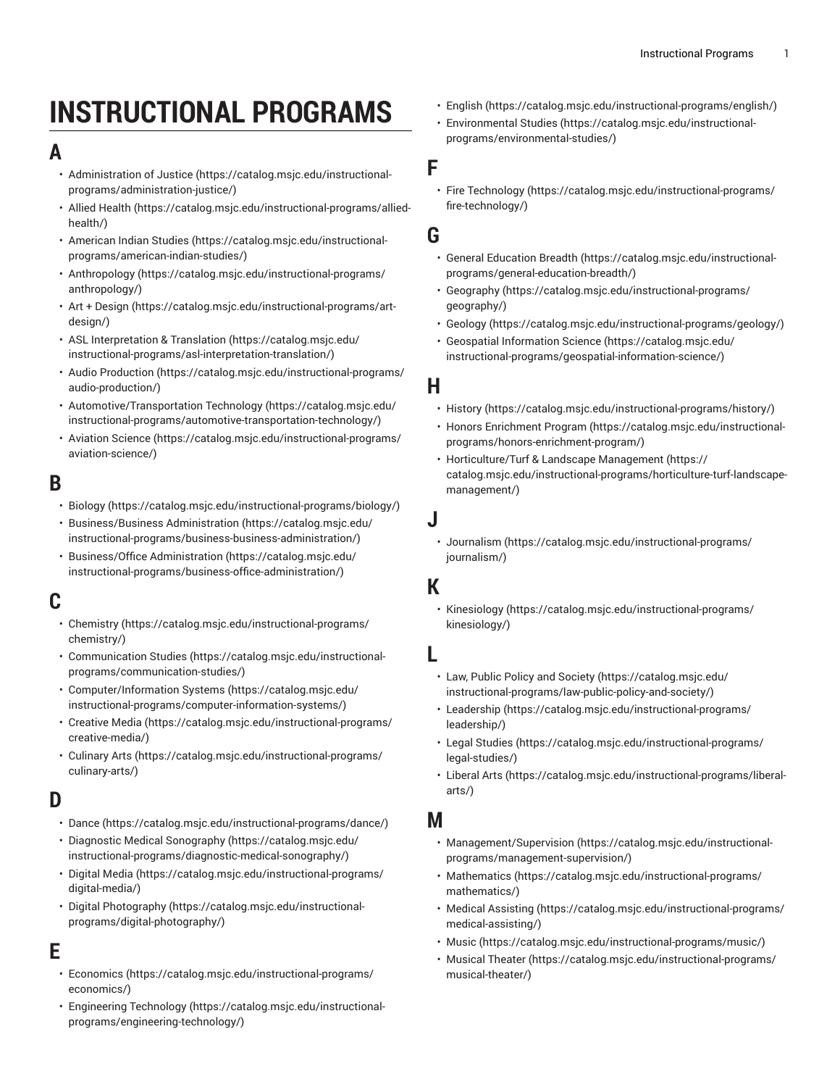# **INSTRUCTIONAL PROGRAMS**

# **A**

- [Administration of Justice \(https://catalog.msjc.edu/instructional](https://catalog.msjc.edu/instructional-programs/administration-justice/)[programs/administration-justice/\)](https://catalog.msjc.edu/instructional-programs/administration-justice/)
- [Allied Health \(https://catalog.msjc.edu/instructional-programs/allied](https://catalog.msjc.edu/instructional-programs/allied-health/)[health/\)](https://catalog.msjc.edu/instructional-programs/allied-health/)
- [American Indian Studies \(https://catalog.msjc.edu/instructional](https://catalog.msjc.edu/instructional-programs/american-indian-studies/)[programs/american-indian-studies/\)](https://catalog.msjc.edu/instructional-programs/american-indian-studies/)
- [Anthropology](https://catalog.msjc.edu/instructional-programs/anthropology/) [\(https://catalog.msjc.edu/instructional-programs/](https://catalog.msjc.edu/instructional-programs/anthropology/) [anthropology/\)](https://catalog.msjc.edu/instructional-programs/anthropology/)
- Art + [Design](https://catalog.msjc.edu/instructional-programs/art-design/) ([https://catalog.msjc.edu/instructional-programs/art](https://catalog.msjc.edu/instructional-programs/art-design/)[design/](https://catalog.msjc.edu/instructional-programs/art-design/))
- ASL [Interpretation](https://catalog.msjc.edu/instructional-programs/asl-interpretation-translation/) & Translation ([https://catalog.msjc.edu/](https://catalog.msjc.edu/instructional-programs/asl-interpretation-translation/) [instructional-programs/asl-interpretation-translation/](https://catalog.msjc.edu/instructional-programs/asl-interpretation-translation/))
- Audio [Production](https://catalog.msjc.edu/instructional-programs/audio-production/) ([https://catalog.msjc.edu/instructional-programs/](https://catalog.msjc.edu/instructional-programs/audio-production/) [audio-production/](https://catalog.msjc.edu/instructional-programs/audio-production/))
- [Automotive/Transportation](https://catalog.msjc.edu/instructional-programs/automotive-transportation-technology/) Technology [\(https://catalog.msjc.edu/](https://catalog.msjc.edu/instructional-programs/automotive-transportation-technology/) [instructional-programs/automotive-transportation-technology/](https://catalog.msjc.edu/instructional-programs/automotive-transportation-technology/))
- [Aviation Science](https://catalog.msjc.edu/instructional-programs/aviation-science/) ([https://catalog.msjc.edu/instructional-programs/](https://catalog.msjc.edu/instructional-programs/aviation-science/) [aviation-science/\)](https://catalog.msjc.edu/instructional-programs/aviation-science/)

# **B**

- [Biology \(https://catalog.msjc.edu/instructional-programs/biology/\)](https://catalog.msjc.edu/instructional-programs/biology/)
- [Business/Business Administration](https://catalog.msjc.edu/instructional-programs/business-business-administration/) [\(https://catalog.msjc.edu/](https://catalog.msjc.edu/instructional-programs/business-business-administration/) [instructional-programs/business-business-administration/](https://catalog.msjc.edu/instructional-programs/business-business-administration/))
- [Business/Office Administration \(https://catalog.msjc.edu/](https://catalog.msjc.edu/instructional-programs/business-office-administration/) [instructional-programs/business-office-administration/](https://catalog.msjc.edu/instructional-programs/business-office-administration/))

# **C**

- [Chemistry \(https://catalog.msjc.edu/instructional-programs/](https://catalog.msjc.edu/instructional-programs/chemistry/) [chemistry/](https://catalog.msjc.edu/instructional-programs/chemistry/))
- [Communication Studies](https://catalog.msjc.edu/instructional-programs/communication-studies/) [\(https://catalog.msjc.edu/instructional](https://catalog.msjc.edu/instructional-programs/communication-studies/)[programs/communication-studies/](https://catalog.msjc.edu/instructional-programs/communication-studies/))
- [Computer/Information Systems](https://catalog.msjc.edu/instructional-programs/computer-information-systems/) ([https://catalog.msjc.edu/](https://catalog.msjc.edu/instructional-programs/computer-information-systems/) [instructional-programs/computer-information-systems/\)](https://catalog.msjc.edu/instructional-programs/computer-information-systems/)
- [Creative](https://catalog.msjc.edu/instructional-programs/creative-media/) Media [\(https://catalog.msjc.edu/instructional-programs/](https://catalog.msjc.edu/instructional-programs/creative-media/) [creative-media/](https://catalog.msjc.edu/instructional-programs/creative-media/))
- [Culinary](https://catalog.msjc.edu/instructional-programs/culinary-arts/) Arts ([https://catalog.msjc.edu/instructional-programs/](https://catalog.msjc.edu/instructional-programs/culinary-arts/) [culinary-arts/](https://catalog.msjc.edu/instructional-programs/culinary-arts/))

# **D**

- [Dance \(https://catalog.msjc.edu/instructional-programs/dance/\)](https://catalog.msjc.edu/instructional-programs/dance/)
- [Diagnostic Medical Sonography](https://catalog.msjc.edu/instructional-programs/diagnostic-medical-sonography/) ([https://catalog.msjc.edu/](https://catalog.msjc.edu/instructional-programs/diagnostic-medical-sonography/) [instructional-programs/diagnostic-medical-sonography/\)](https://catalog.msjc.edu/instructional-programs/diagnostic-medical-sonography/)
- [Digital Media](https://catalog.msjc.edu/instructional-programs/digital-media/) ([https://catalog.msjc.edu/instructional-programs/](https://catalog.msjc.edu/instructional-programs/digital-media/) [digital-media/\)](https://catalog.msjc.edu/instructional-programs/digital-media/)
- [Digital Photography](https://catalog.msjc.edu/instructional-programs/digital-photography/) ([https://catalog.msjc.edu/instructional](https://catalog.msjc.edu/instructional-programs/digital-photography/)[programs/digital-photography/](https://catalog.msjc.edu/instructional-programs/digital-photography/))

# **E**

- [Economics](https://catalog.msjc.edu/instructional-programs/economics/) ([https://catalog.msjc.edu/instructional-programs/](https://catalog.msjc.edu/instructional-programs/economics/) [economics/\)](https://catalog.msjc.edu/instructional-programs/economics/)
- [Engineering](https://catalog.msjc.edu/instructional-programs/engineering-technology/) Technology ([https://catalog.msjc.edu/instructional](https://catalog.msjc.edu/instructional-programs/engineering-technology/)[programs/engineering-technology/\)](https://catalog.msjc.edu/instructional-programs/engineering-technology/)
- [English](https://catalog.msjc.edu/instructional-programs/english/) ([https://catalog.msjc.edu/instructional-programs/english/\)](https://catalog.msjc.edu/instructional-programs/english/)
- [Environmental](https://catalog.msjc.edu/instructional-programs/environmental-studies/) Studies [\(https://catalog.msjc.edu/instructional](https://catalog.msjc.edu/instructional-programs/environmental-studies/)[programs/environmental-studies/\)](https://catalog.msjc.edu/instructional-programs/environmental-studies/)

#### **F**

• Fire [Technology](https://catalog.msjc.edu/instructional-programs/fire-technology/) [\(https://catalog.msjc.edu/instructional-programs/](https://catalog.msjc.edu/instructional-programs/fire-technology/) [fire-technology/](https://catalog.msjc.edu/instructional-programs/fire-technology/))

#### **G**

- General [Education](https://catalog.msjc.edu/instructional-programs/general-education-breadth/) Breadth ([https://catalog.msjc.edu/instructional](https://catalog.msjc.edu/instructional-programs/general-education-breadth/)[programs/general-education-breadth/](https://catalog.msjc.edu/instructional-programs/general-education-breadth/))
- [Geography](https://catalog.msjc.edu/instructional-programs/geography/) [\(https://catalog.msjc.edu/instructional-programs/](https://catalog.msjc.edu/instructional-programs/geography/) [geography/\)](https://catalog.msjc.edu/instructional-programs/geography/)
- [Geology \(https://catalog.msjc.edu/instructional-programs/geology/](https://catalog.msjc.edu/instructional-programs/geology/))
- [Geospatial Information Science](https://catalog.msjc.edu/instructional-programs/geospatial-information-science/) [\(https://catalog.msjc.edu/](https://catalog.msjc.edu/instructional-programs/geospatial-information-science/) [instructional-programs/geospatial-information-science/\)](https://catalog.msjc.edu/instructional-programs/geospatial-information-science/)

## **H**

- [History](https://catalog.msjc.edu/instructional-programs/history/) [\(https://catalog.msjc.edu/instructional-programs/history/](https://catalog.msjc.edu/instructional-programs/history/))
- Honors [Enrichment](https://catalog.msjc.edu/instructional-programs/honors-enrichment-program/) Program ([https://catalog.msjc.edu/instructional](https://catalog.msjc.edu/instructional-programs/honors-enrichment-program/)[programs/honors-enrichment-program/](https://catalog.msjc.edu/instructional-programs/honors-enrichment-program/))
- [Horticulture/Turf](https://catalog.msjc.edu/instructional-programs/horticulture-turf-landscape-management/) & Landscape Management ([https://](https://catalog.msjc.edu/instructional-programs/horticulture-turf-landscape-management/) [catalog.msjc.edu/instructional-programs/horticulture-turf-landscape](https://catalog.msjc.edu/instructional-programs/horticulture-turf-landscape-management/)[management/](https://catalog.msjc.edu/instructional-programs/horticulture-turf-landscape-management/))

#### **J**

• [Journalism \(https://catalog.msjc.edu/instructional-programs/](https://catalog.msjc.edu/instructional-programs/journalism/) [journalism/\)](https://catalog.msjc.edu/instructional-programs/journalism/)

## **K**

• [Kinesiology](https://catalog.msjc.edu/instructional-programs/kinesiology/) ([https://catalog.msjc.edu/instructional-programs/](https://catalog.msjc.edu/instructional-programs/kinesiology/) [kinesiology/](https://catalog.msjc.edu/instructional-programs/kinesiology/))

#### **L**

- Law, Public Policy and [Society \(https://catalog.msjc.edu/](https://catalog.msjc.edu/instructional-programs/law-public-policy-and-society/) [instructional-programs/law-public-policy-and-society/\)](https://catalog.msjc.edu/instructional-programs/law-public-policy-and-society/)
- [Leadership](https://catalog.msjc.edu/instructional-programs/leadership/) ([https://catalog.msjc.edu/instructional-programs/](https://catalog.msjc.edu/instructional-programs/leadership/) [leadership/](https://catalog.msjc.edu/instructional-programs/leadership/))
- [Legal Studies](https://catalog.msjc.edu/instructional-programs/legal-studies/) ([https://catalog.msjc.edu/instructional-programs/](https://catalog.msjc.edu/instructional-programs/legal-studies/) [legal-studies/\)](https://catalog.msjc.edu/instructional-programs/legal-studies/)
- [Liberal](https://catalog.msjc.edu/instructional-programs/liberal-arts/) Arts [\(https://catalog.msjc.edu/instructional-programs/liberal](https://catalog.msjc.edu/instructional-programs/liberal-arts/)[arts/\)](https://catalog.msjc.edu/instructional-programs/liberal-arts/)

#### **M**

- [Management/Supervision \(https://catalog.msjc.edu/instructional](https://catalog.msjc.edu/instructional-programs/management-supervision/)[programs/management-supervision/](https://catalog.msjc.edu/instructional-programs/management-supervision/))
- [Mathematics](https://catalog.msjc.edu/instructional-programs/mathematics/) ([https://catalog.msjc.edu/instructional-programs/](https://catalog.msjc.edu/instructional-programs/mathematics/) [mathematics/](https://catalog.msjc.edu/instructional-programs/mathematics/))
- [Medical Assisting](https://catalog.msjc.edu/instructional-programs/medical-assisting/) [\(https://catalog.msjc.edu/instructional-programs/](https://catalog.msjc.edu/instructional-programs/medical-assisting/) [medical-assisting/](https://catalog.msjc.edu/instructional-programs/medical-assisting/))
- [Music](https://catalog.msjc.edu/instructional-programs/music/) [\(https://catalog.msjc.edu/instructional-programs/music/](https://catalog.msjc.edu/instructional-programs/music/))
- [Musical Theater](https://catalog.msjc.edu/instructional-programs/musical-theater/) ([https://catalog.msjc.edu/instructional-programs/](https://catalog.msjc.edu/instructional-programs/musical-theater/) [musical-theater/\)](https://catalog.msjc.edu/instructional-programs/musical-theater/)